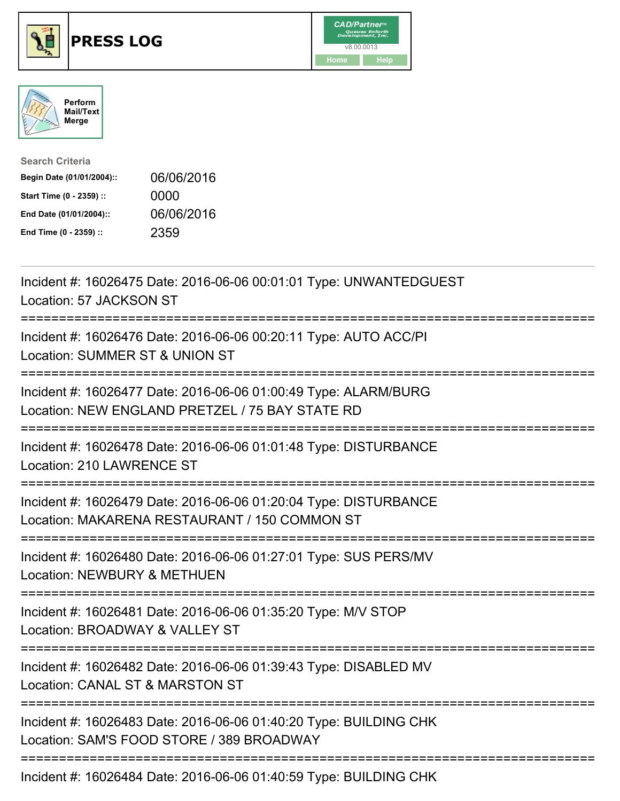

## **PRESS LOG** v8.00.0013





| <b>Search Criteria</b>    |            |
|---------------------------|------------|
| Begin Date (01/01/2004):: | 06/06/2016 |
| Start Time (0 - 2359) ::  | 0000       |
| End Date (01/01/2004)::   | 06/06/2016 |
| End Time (0 - 2359) ::    | 2359       |

Incident #: 16026475 Date: 2016-06-06 00:01:01 Type: UNWANTEDGUEST Location: 57 JACKSON ST =========================================================================== Incident #: 16026476 Date: 2016-06-06 00:20:11 Type: AUTO ACC/PI Location: SUMMER ST & UNION ST =========================================================================== Incident #: 16026477 Date: 2016-06-06 01:00:49 Type: ALARM/BURG Location: NEW ENGLAND PRETZEL / 75 BAY STATE RD =========================================================================== Incident #: 16026478 Date: 2016-06-06 01:01:48 Type: DISTURBANCE Location: 210 LAWRENCE ST =========================================================================== Incident #: 16026479 Date: 2016-06-06 01:20:04 Type: DISTURBANCE Location: MAKARENA RESTAURANT / 150 COMMON ST =========================================================================== Incident #: 16026480 Date: 2016-06-06 01:27:01 Type: SUS PERS/MV Location: NEWBURY & METHUEN =========================================================================== Incident #: 16026481 Date: 2016-06-06 01:35:20 Type: M/V STOP Location: BROADWAY & VALLEY ST =========================================================================== Incident #: 16026482 Date: 2016-06-06 01:39:43 Type: DISABLED MV Location: CANAL ST & MARSTON ST =========================================================================== Incident #: 16026483 Date: 2016-06-06 01:40:20 Type: BUILDING CHK Location: SAM'S FOOD STORE / 389 BROADWAY =========================================================================== Incident #: 16026484 Date: 2016-06-06 01:40:59 Type: BUILDING CHK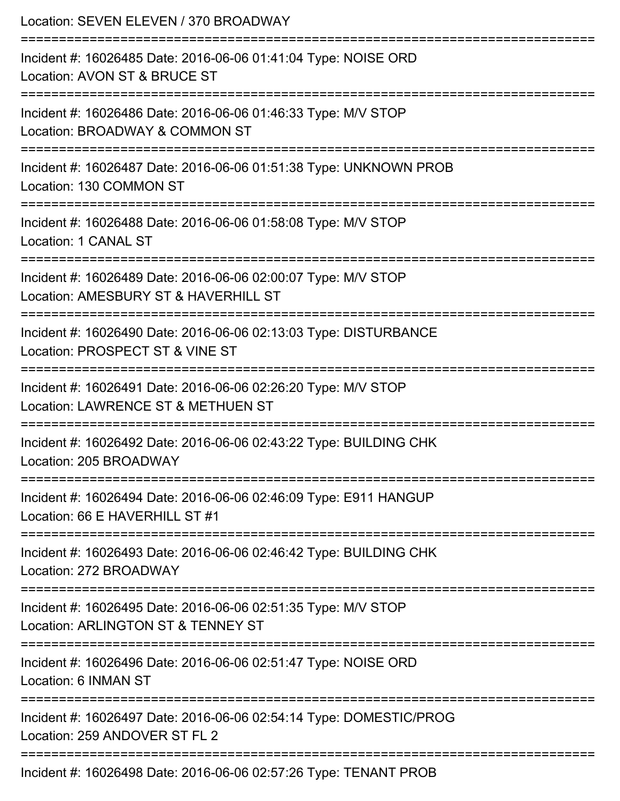| Location: SEVEN ELEVEN / 370 BROADWAY                                                                                                   |
|-----------------------------------------------------------------------------------------------------------------------------------------|
| Incident #: 16026485 Date: 2016-06-06 01:41:04 Type: NOISE ORD<br>Location: AVON ST & BRUCE ST<br>;====================                 |
| Incident #: 16026486 Date: 2016-06-06 01:46:33 Type: M/V STOP<br>Location: BROADWAY & COMMON ST                                         |
| Incident #: 16026487 Date: 2016-06-06 01:51:38 Type: UNKNOWN PROB<br>Location: 130 COMMON ST                                            |
| Incident #: 16026488 Date: 2016-06-06 01:58:08 Type: M/V STOP<br>Location: 1 CANAL ST                                                   |
| Incident #: 16026489 Date: 2016-06-06 02:00:07 Type: M/V STOP<br>Location: AMESBURY ST & HAVERHILL ST                                   |
| Incident #: 16026490 Date: 2016-06-06 02:13:03 Type: DISTURBANCE<br>Location: PROSPECT ST & VINE ST                                     |
| Incident #: 16026491 Date: 2016-06-06 02:26:20 Type: M/V STOP<br>Location: LAWRENCE ST & METHUEN ST<br>-------------------------------- |
| Incident #: 16026492 Date: 2016-06-06 02:43:22 Type: BUILDING CHK<br>Location: 205 BROADWAY                                             |
| Incident #: 16026494 Date: 2016-06-06 02:46:09 Type: E911 HANGUP<br>Location: 66 E HAVERHILL ST #1                                      |
| Incident #: 16026493 Date: 2016-06-06 02:46:42 Type: BUILDING CHK<br>Location: 272 BROADWAY                                             |
| Incident #: 16026495 Date: 2016-06-06 02:51:35 Type: M/V STOP<br>Location: ARLINGTON ST & TENNEY ST                                     |
| Incident #: 16026496 Date: 2016-06-06 02:51:47 Type: NOISE ORD<br>Location: 6 INMAN ST                                                  |
| Incident #: 16026497 Date: 2016-06-06 02:54:14 Type: DOMESTIC/PROG<br>Location: 259 ANDOVER ST FL 2                                     |
| Incident #: 16026498 Date: 2016-06-06 02:57:26 Type: TENANT PROB                                                                        |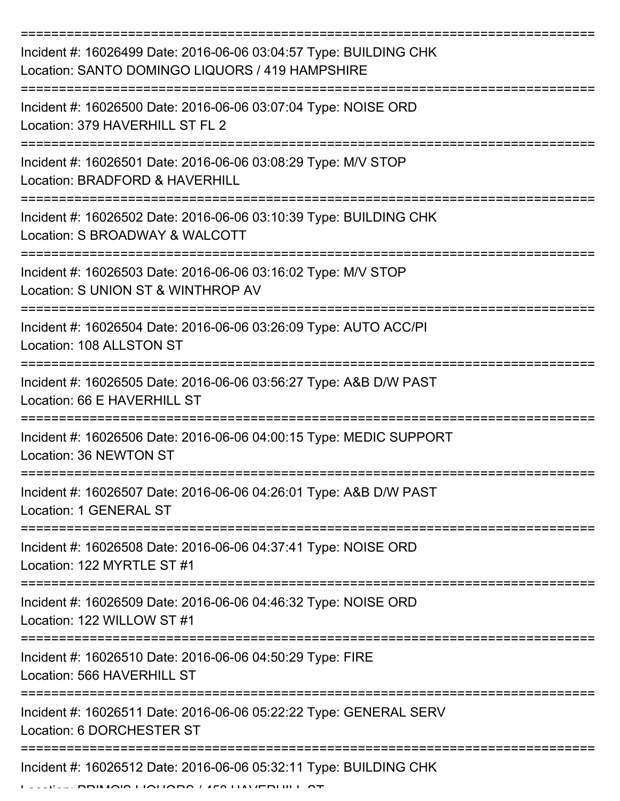| Incident #: 16026499 Date: 2016-06-06 03:04:57 Type: BUILDING CHK<br>Location: SANTO DOMINGO LIQUORS / 419 HAMPSHIRE |
|----------------------------------------------------------------------------------------------------------------------|
| Incident #: 16026500 Date: 2016-06-06 03:07:04 Type: NOISE ORD<br>Location: 379 HAVERHILL ST FL 2                    |
| Incident #: 16026501 Date: 2016-06-06 03:08:29 Type: M/V STOP<br>Location: BRADFORD & HAVERHILL                      |
| Incident #: 16026502 Date: 2016-06-06 03:10:39 Type: BUILDING CHK<br>Location: S BROADWAY & WALCOTT                  |
| Incident #: 16026503 Date: 2016-06-06 03:16:02 Type: M/V STOP<br>Location: S UNION ST & WINTHROP AV                  |
| Incident #: 16026504 Date: 2016-06-06 03:26:09 Type: AUTO ACC/PI<br>Location: 108 ALLSTON ST                         |
| Incident #: 16026505 Date: 2016-06-06 03:56:27 Type: A&B D/W PAST<br>Location: 66 E HAVERHILL ST                     |
| Incident #: 16026506 Date: 2016-06-06 04:00:15 Type: MEDIC SUPPORT<br>Location: 36 NEWTON ST                         |
| Incident #: 16026507 Date: 2016-06-06 04:26:01 Type: A&B D/W PAST<br>Location: 1 GENERAL ST                          |
| Incident #: 16026508 Date: 2016-06-06 04:37:41 Type: NOISE ORD<br>Location: 122 MYRTLE ST #1                         |
| Incident #: 16026509 Date: 2016-06-06 04:46:32 Type: NOISE ORD<br>Location: 122 WILLOW ST #1                         |
| Incident #: 16026510 Date: 2016-06-06 04:50:29 Type: FIRE<br>Location: 566 HAVERHILL ST                              |
| Incident #: 16026511 Date: 2016-06-06 05:22:22 Type: GENERAL SERV<br>Location: 6 DORCHESTER ST                       |
| Incident #: 16026512 Date: 2016-06-06 05:32:11 Type: BUILDING CHK                                                    |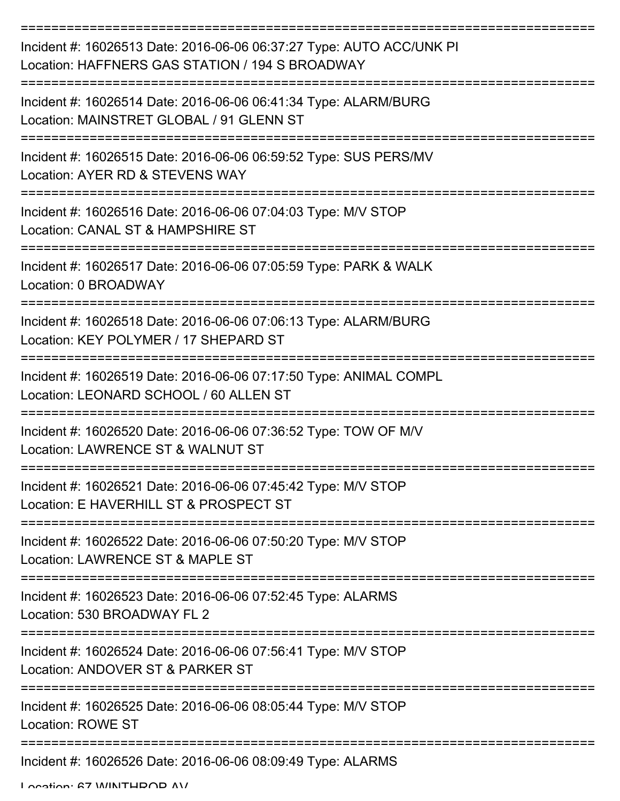| Incident #: 16026513 Date: 2016-06-06 06:37:27 Type: AUTO ACC/UNK PI<br>Location: HAFFNERS GAS STATION / 194 S BROADWAY |
|-------------------------------------------------------------------------------------------------------------------------|
| Incident #: 16026514 Date: 2016-06-06 06:41:34 Type: ALARM/BURG<br>Location: MAINSTRET GLOBAL / 91 GLENN ST             |
| Incident #: 16026515 Date: 2016-06-06 06:59:52 Type: SUS PERS/MV<br>Location: AYER RD & STEVENS WAY                     |
| Incident #: 16026516 Date: 2016-06-06 07:04:03 Type: M/V STOP<br>Location: CANAL ST & HAMPSHIRE ST                      |
| Incident #: 16026517 Date: 2016-06-06 07:05:59 Type: PARK & WALK<br>Location: 0 BROADWAY                                |
| Incident #: 16026518 Date: 2016-06-06 07:06:13 Type: ALARM/BURG<br>Location: KEY POLYMER / 17 SHEPARD ST                |
| Incident #: 16026519 Date: 2016-06-06 07:17:50 Type: ANIMAL COMPL<br>Location: LEONARD SCHOOL / 60 ALLEN ST             |
| Incident #: 16026520 Date: 2016-06-06 07:36:52 Type: TOW OF M/V<br>Location: LAWRENCE ST & WALNUT ST                    |
| Incident #: 16026521 Date: 2016-06-06 07:45:42 Type: M/V STOP<br>Location: E HAVERHILL ST & PROSPECT ST                 |
| Incident #: 16026522 Date: 2016-06-06 07:50:20 Type: M/V STOP<br>Location: LAWRENCE ST & MAPLE ST                       |
| Incident #: 16026523 Date: 2016-06-06 07:52:45 Type: ALARMS<br>Location: 530 BROADWAY FL 2                              |
| Incident #: 16026524 Date: 2016-06-06 07:56:41 Type: M/V STOP<br>Location: ANDOVER ST & PARKER ST                       |
| Incident #: 16026525 Date: 2016-06-06 08:05:44 Type: M/V STOP<br><b>Location: ROWE ST</b>                               |
| Incident #: 16026526 Date: 2016-06-06 08:09:49 Type: ALARMS                                                             |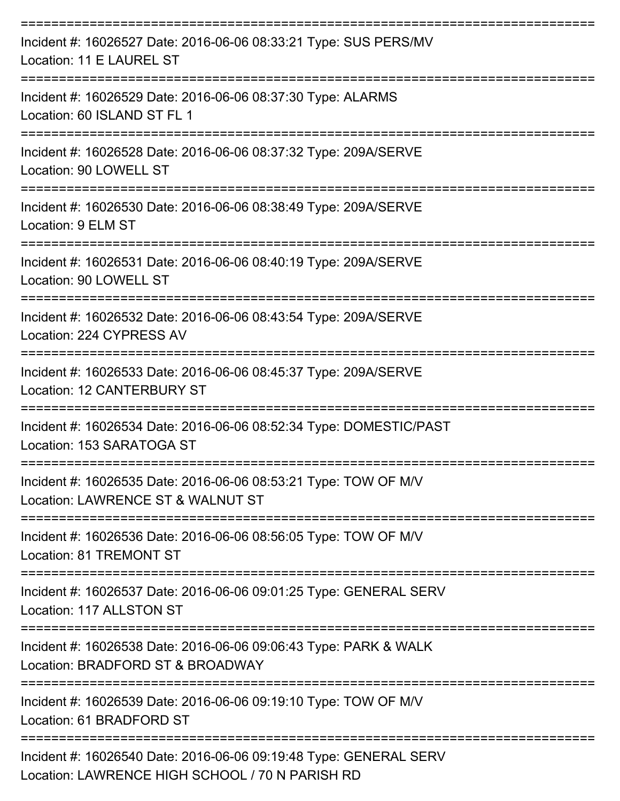| Incident #: 16026527 Date: 2016-06-06 08:33:21 Type: SUS PERS/MV<br>Location: 11 E LAUREL ST                         |
|----------------------------------------------------------------------------------------------------------------------|
| Incident #: 16026529 Date: 2016-06-06 08:37:30 Type: ALARMS<br>Location: 60 ISLAND ST FL 1                           |
| Incident #: 16026528 Date: 2016-06-06 08:37:32 Type: 209A/SERVE<br>Location: 90 LOWELL ST                            |
| Incident #: 16026530 Date: 2016-06-06 08:38:49 Type: 209A/SERVE<br>Location: 9 ELM ST                                |
| Incident #: 16026531 Date: 2016-06-06 08:40:19 Type: 209A/SERVE<br>Location: 90 LOWELL ST                            |
| Incident #: 16026532 Date: 2016-06-06 08:43:54 Type: 209A/SERVE<br>Location: 224 CYPRESS AV                          |
| Incident #: 16026533 Date: 2016-06-06 08:45:37 Type: 209A/SERVE<br>Location: 12 CANTERBURY ST                        |
| Incident #: 16026534 Date: 2016-06-06 08:52:34 Type: DOMESTIC/PAST<br>Location: 153 SARATOGA ST                      |
| Incident #: 16026535 Date: 2016-06-06 08:53:21 Type: TOW OF M/V<br>Location: LAWRENCE ST & WALNUT ST                 |
| Incident #: 16026536 Date: 2016-06-06 08:56:05 Type: TOW OF M/V<br><b>Location: 81 TREMONT ST</b>                    |
| Incident #: 16026537 Date: 2016-06-06 09:01:25 Type: GENERAL SERV<br>Location: 117 ALLSTON ST                        |
| Incident #: 16026538 Date: 2016-06-06 09:06:43 Type: PARK & WALK<br>Location: BRADFORD ST & BROADWAY                 |
| Incident #: 16026539 Date: 2016-06-06 09:19:10 Type: TOW OF M/V<br>Location: 61 BRADFORD ST                          |
| Incident #: 16026540 Date: 2016-06-06 09:19:48 Type: GENERAL SERV<br>Location: LAWRENCE HIGH SCHOOL / 70 N PARISH RD |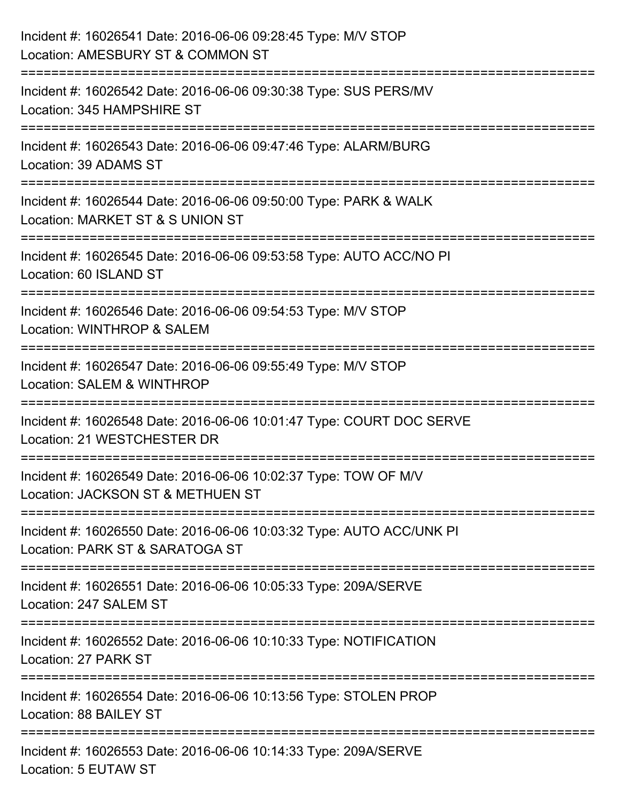| Incident #: 16026541 Date: 2016-06-06 09:28:45 Type: M/V STOP<br>Location: AMESBURY ST & COMMON ST                       |
|--------------------------------------------------------------------------------------------------------------------------|
| ======================<br>Incident #: 16026542 Date: 2016-06-06 09:30:38 Type: SUS PERS/MV<br>Location: 345 HAMPSHIRE ST |
| Incident #: 16026543 Date: 2016-06-06 09:47:46 Type: ALARM/BURG<br>Location: 39 ADAMS ST                                 |
| Incident #: 16026544 Date: 2016-06-06 09:50:00 Type: PARK & WALK<br>Location: MARKET ST & S UNION ST                     |
| ====================<br>Incident #: 16026545 Date: 2016-06-06 09:53:58 Type: AUTO ACC/NO PI<br>Location: 60 ISLAND ST    |
| Incident #: 16026546 Date: 2016-06-06 09:54:53 Type: M/V STOP<br>Location: WINTHROP & SALEM                              |
| Incident #: 16026547 Date: 2016-06-06 09:55:49 Type: M/V STOP<br>Location: SALEM & WINTHROP                              |
| Incident #: 16026548 Date: 2016-06-06 10:01:47 Type: COURT DOC SERVE<br>Location: 21 WESTCHESTER DR                      |
| Incident #: 16026549 Date: 2016-06-06 10:02:37 Type: TOW OF M/V<br>Location: JACKSON ST & METHUEN ST                     |
| Incident #: 16026550 Date: 2016-06-06 10:03:32 Type: AUTO ACC/UNK PI<br>Location: PARK ST & SARATOGA ST                  |
| Incident #: 16026551 Date: 2016-06-06 10:05:33 Type: 209A/SERVE<br>Location: 247 SALEM ST                                |
| Incident #: 16026552 Date: 2016-06-06 10:10:33 Type: NOTIFICATION<br>Location: 27 PARK ST                                |
| Incident #: 16026554 Date: 2016-06-06 10:13:56 Type: STOLEN PROP<br>Location: 88 BAILEY ST                               |
| Incident #: 16026553 Date: 2016-06-06 10:14:33 Type: 209A/SERVE<br>Location: 5 EUTAW ST                                  |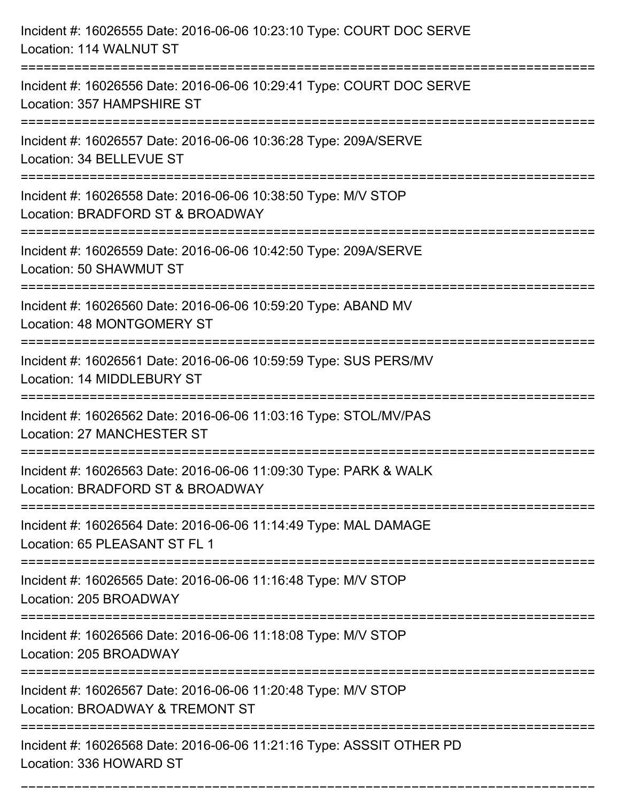| Incident #: 16026555 Date: 2016-06-06 10:23:10 Type: COURT DOC SERVE<br>Location: 114 WALNUT ST                                                                               |
|-------------------------------------------------------------------------------------------------------------------------------------------------------------------------------|
| Incident #: 16026556 Date: 2016-06-06 10:29:41 Type: COURT DOC SERVE<br>Location: 357 HAMPSHIRE ST                                                                            |
| Incident #: 16026557 Date: 2016-06-06 10:36:28 Type: 209A/SERVE<br>Location: 34 BELLEVUE ST                                                                                   |
| Incident #: 16026558 Date: 2016-06-06 10:38:50 Type: M/V STOP<br>Location: BRADFORD ST & BROADWAY                                                                             |
| Incident #: 16026559 Date: 2016-06-06 10:42:50 Type: 209A/SERVE<br>Location: 50 SHAWMUT ST                                                                                    |
| Incident #: 16026560 Date: 2016-06-06 10:59:20 Type: ABAND MV<br>Location: 48 MONTGOMERY ST                                                                                   |
| Incident #: 16026561 Date: 2016-06-06 10:59:59 Type: SUS PERS/MV<br>Location: 14 MIDDLEBURY ST                                                                                |
| Incident #: 16026562 Date: 2016-06-06 11:03:16 Type: STOL/MV/PAS<br><b>Location: 27 MANCHESTER ST</b>                                                                         |
| Incident #: 16026563 Date: 2016-06-06 11:09:30 Type: PARK & WALK<br>Location: BRADFORD ST & BROADWAY                                                                          |
| Incident #: 16026564 Date: 2016-06-06 11:14:49 Type: MAL DAMAGE<br>Location: 65 PLEASANT ST FL 1                                                                              |
| Incident #: 16026565 Date: 2016-06-06 11:16:48 Type: M/V STOP<br>Location: 205 BROADWAY                                                                                       |
| Incident #: 16026566 Date: 2016-06-06 11:18:08 Type: M/V STOP<br>Location: 205 BROADWAY                                                                                       |
| =====================================<br>:===============================<br>Incident #: 16026567 Date: 2016-06-06 11:20:48 Type: M/V STOP<br>Location: BROADWAY & TREMONT ST |
| Incident #: 16026568 Date: 2016-06-06 11:21:16 Type: ASSSIT OTHER PD<br>Location: 336 HOWARD ST                                                                               |

===========================================================================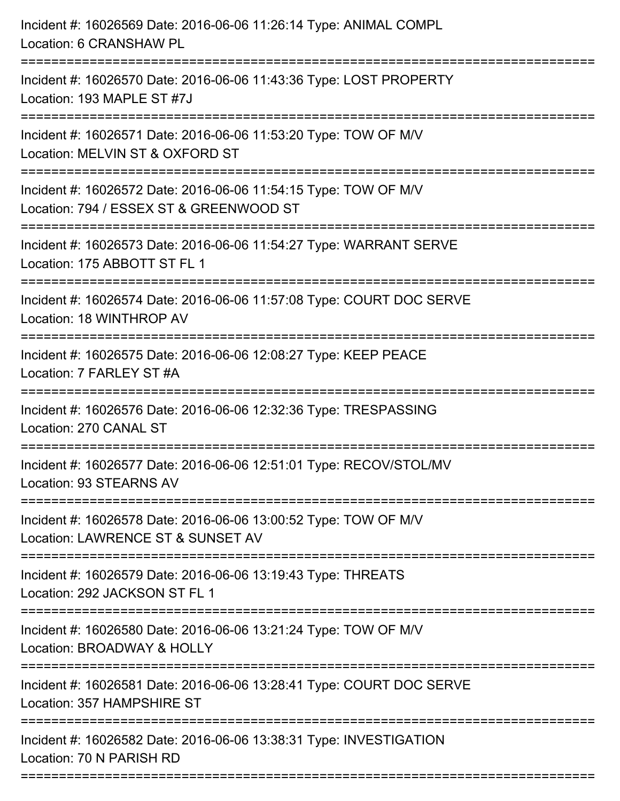| Incident #: 16026569 Date: 2016-06-06 11:26:14 Type: ANIMAL COMPL<br>Location: 6 CRANSHAW PL                                             |
|------------------------------------------------------------------------------------------------------------------------------------------|
| Incident #: 16026570 Date: 2016-06-06 11:43:36 Type: LOST PROPERTY<br>Location: 193 MAPLE ST #7J                                         |
| Incident #: 16026571 Date: 2016-06-06 11:53:20 Type: TOW OF M/V<br>Location: MELVIN ST & OXFORD ST<br>:================================= |
| Incident #: 16026572 Date: 2016-06-06 11:54:15 Type: TOW OF M/V<br>Location: 794 / ESSEX ST & GREENWOOD ST                               |
| Incident #: 16026573 Date: 2016-06-06 11:54:27 Type: WARRANT SERVE<br>Location: 175 ABBOTT ST FL 1                                       |
| Incident #: 16026574 Date: 2016-06-06 11:57:08 Type: COURT DOC SERVE<br>Location: 18 WINTHROP AV                                         |
| Incident #: 16026575 Date: 2016-06-06 12:08:27 Type: KEEP PEACE<br>Location: 7 FARLEY ST #A                                              |
| Incident #: 16026576 Date: 2016-06-06 12:32:36 Type: TRESPASSING<br>Location: 270 CANAL ST                                               |
| Incident #: 16026577 Date: 2016-06-06 12:51:01 Type: RECOV/STOL/MV<br>Location: 93 STEARNS AV                                            |
| Incident #: 16026578 Date: 2016-06-06 13:00:52 Type: TOW OF M/V<br>Location: LAWRENCE ST & SUNSET AV                                     |
| Incident #: 16026579 Date: 2016-06-06 13:19:43 Type: THREATS<br>Location: 292 JACKSON ST FL 1                                            |
| Incident #: 16026580 Date: 2016-06-06 13:21:24 Type: TOW OF M/V<br>Location: BROADWAY & HOLLY                                            |
| Incident #: 16026581 Date: 2016-06-06 13:28:41 Type: COURT DOC SERVE<br>Location: 357 HAMPSHIRE ST                                       |
| Incident #: 16026582 Date: 2016-06-06 13:38:31 Type: INVESTIGATION<br>Location: 70 N PARISH RD                                           |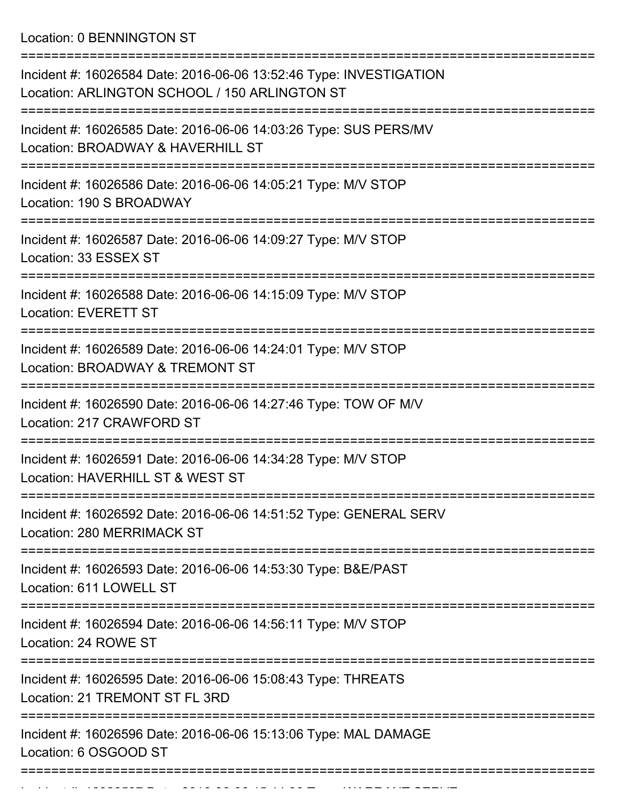Location: 0 BENNINGTON ST

| Incident #: 16026584 Date: 2016-06-06 13:52:46 Type: INVESTIGATION<br>Location: ARLINGTON SCHOOL / 150 ARLINGTON ST |
|---------------------------------------------------------------------------------------------------------------------|
| Incident #: 16026585 Date: 2016-06-06 14:03:26 Type: SUS PERS/MV<br>Location: BROADWAY & HAVERHILL ST               |
| Incident #: 16026586 Date: 2016-06-06 14:05:21 Type: M/V STOP<br>Location: 190 S BROADWAY                           |
| Incident #: 16026587 Date: 2016-06-06 14:09:27 Type: M/V STOP<br>Location: 33 ESSEX ST                              |
| Incident #: 16026588 Date: 2016-06-06 14:15:09 Type: M/V STOP<br><b>Location: EVERETT ST</b>                        |
| Incident #: 16026589 Date: 2016-06-06 14:24:01 Type: M/V STOP<br>Location: BROADWAY & TREMONT ST                    |
| Incident #: 16026590 Date: 2016-06-06 14:27:46 Type: TOW OF M/V<br>Location: 217 CRAWFORD ST                        |
| Incident #: 16026591 Date: 2016-06-06 14:34:28 Type: M/V STOP<br>Location: HAVERHILL ST & WEST ST                   |
| Incident #: 16026592 Date: 2016-06-06 14:51:52 Type: GENERAL SERV<br>Location: 280 MERRIMACK ST                     |
| Incident #: 16026593 Date: 2016-06-06 14:53:30 Type: B&E/PAST<br>Location: 611 LOWELL ST                            |
| Incident #: 16026594 Date: 2016-06-06 14:56:11 Type: M/V STOP<br>Location: 24 ROWE ST                               |
| Incident #: 16026595 Date: 2016-06-06 15:08:43 Type: THREATS<br>Location: 21 TREMONT ST FL 3RD                      |
| Incident #: 16026596 Date: 2016-06-06 15:13:06 Type: MAL DAMAGE<br>Location: 6 OSGOOD ST                            |
|                                                                                                                     |

Incident #: 16026597 Date: 2016 06 06 15:14:30 Type: WARRANT SERVE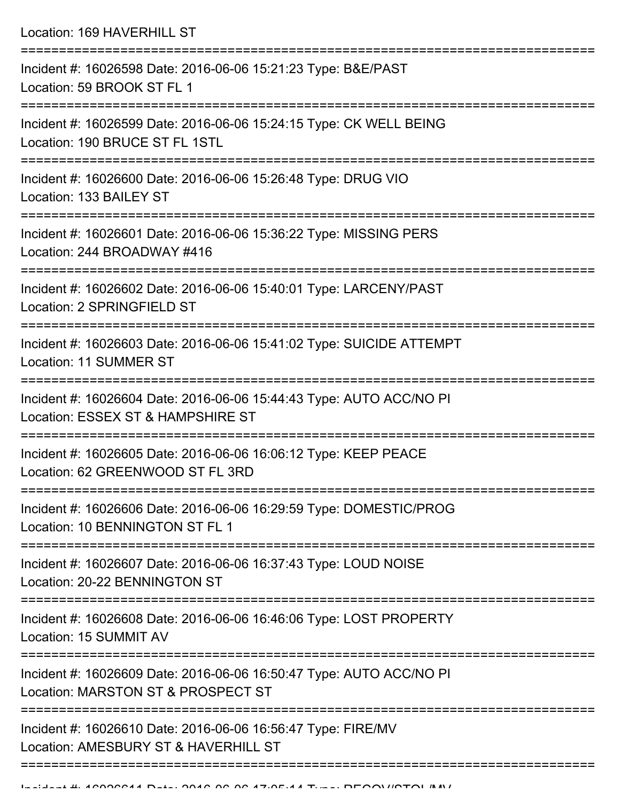Location: 169 HAVERHILL ST =========================================================================== Incident #: 16026598 Date: 2016-06-06 15:21:23 Type: B&E/PAST Location: 59 BROOK ST FL 1 =========================================================================== Incident #: 16026599 Date: 2016-06-06 15:24:15 Type: CK WELL BEING Location: 190 BRUCE ST FL 1STL =========================================================================== Incident #: 16026600 Date: 2016-06-06 15:26:48 Type: DRUG VIO Location: 133 BAILEY ST =========================================================================== Incident #: 16026601 Date: 2016-06-06 15:36:22 Type: MISSING PERS Location: 244 BROADWAY #416 =========================================================================== Incident #: 16026602 Date: 2016-06-06 15:40:01 Type: LARCENY/PAST Location: 2 SPRINGFIELD ST =========================================================================== Incident #: 16026603 Date: 2016-06-06 15:41:02 Type: SUICIDE ATTEMPT Location: 11 SUMMER ST =========================================================================== Incident #: 16026604 Date: 2016-06-06 15:44:43 Type: AUTO ACC/NO PI Location: ESSEX ST & HAMPSHIRE ST =========================================================================== Incident #: 16026605 Date: 2016-06-06 16:06:12 Type: KEEP PEACE Location: 62 GREENWOOD ST FL 3RD =========================================================================== Incident #: 16026606 Date: 2016-06-06 16:29:59 Type: DOMESTIC/PROG Location: 10 BENNINGTON ST FL 1 =========================================================================== Incident #: 16026607 Date: 2016-06-06 16:37:43 Type: LOUD NOISE Location: 20-22 BENNINGTON ST =========================================================================== Incident #: 16026608 Date: 2016-06-06 16:46:06 Type: LOST PROPERTY Location: 15 SUMMIT AV =========================================================================== Incident #: 16026609 Date: 2016-06-06 16:50:47 Type: AUTO ACC/NO PI Location: MARSTON ST & PROSPECT ST =========================================================================== Incident #: 16026610 Date: 2016-06-06 16:56:47 Type: FIRE/MV Location: AMESBURY ST & HAVERHILL ST

===========================================================================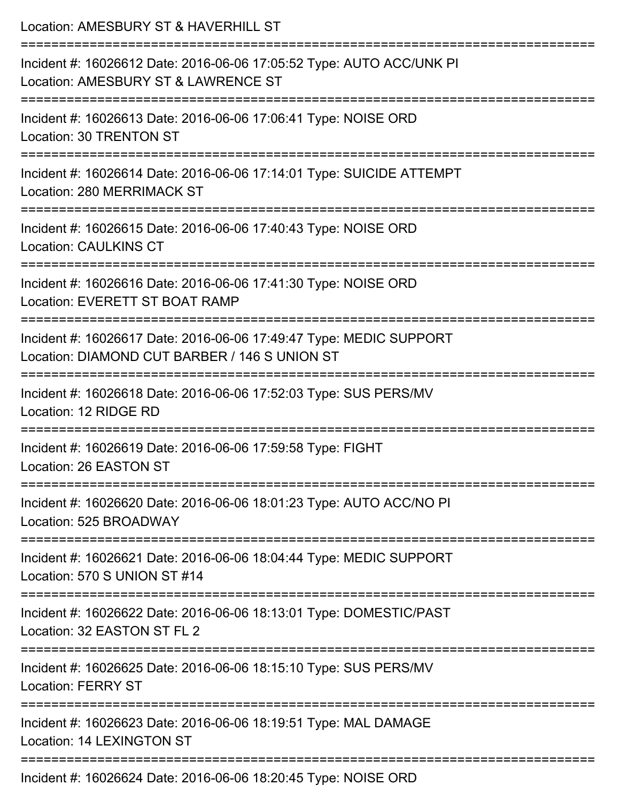| Location: AMESBURY ST & HAVERHILL ST                                                                                      |
|---------------------------------------------------------------------------------------------------------------------------|
| Incident #: 16026612 Date: 2016-06-06 17:05:52 Type: AUTO ACC/UNK PI<br>Location: AMESBURY ST & LAWRENCE ST               |
| Incident #: 16026613 Date: 2016-06-06 17:06:41 Type: NOISE ORD<br>Location: 30 TRENTON ST                                 |
| Incident #: 16026614 Date: 2016-06-06 17:14:01 Type: SUICIDE ATTEMPT<br>Location: 280 MERRIMACK ST<br>------------------- |
| Incident #: 16026615 Date: 2016-06-06 17:40:43 Type: NOISE ORD<br><b>Location: CAULKINS CT</b>                            |
| Incident #: 16026616 Date: 2016-06-06 17:41:30 Type: NOISE ORD<br>Location: EVERETT ST BOAT RAMP                          |
| Incident #: 16026617 Date: 2016-06-06 17:49:47 Type: MEDIC SUPPORT<br>Location: DIAMOND CUT BARBER / 146 S UNION ST       |
| Incident #: 16026618 Date: 2016-06-06 17:52:03 Type: SUS PERS/MV<br>Location: 12 RIDGE RD                                 |
| Incident #: 16026619 Date: 2016-06-06 17:59:58 Type: FIGHT<br>Location: 26 EASTON ST                                      |
| Incident #: 16026620 Date: 2016-06-06 18:01:23 Type: AUTO ACC/NO PI<br>Location: 525 BROADWAY                             |
| Incident #: 16026621 Date: 2016-06-06 18:04:44 Type: MEDIC SUPPORT<br>Location: 570 S UNION ST #14                        |
| Incident #: 16026622 Date: 2016-06-06 18:13:01 Type: DOMESTIC/PAST<br>Location: 32 EASTON ST FL 2                         |
| Incident #: 16026625 Date: 2016-06-06 18:15:10 Type: SUS PERS/MV<br><b>Location: FERRY ST</b>                             |
| Incident #: 16026623 Date: 2016-06-06 18:19:51 Type: MAL DAMAGE<br><b>Location: 14 LEXINGTON ST</b>                       |
| Incident #: 16026624 Date: 2016-06-06 18:20:45 Type: NOISE ORD                                                            |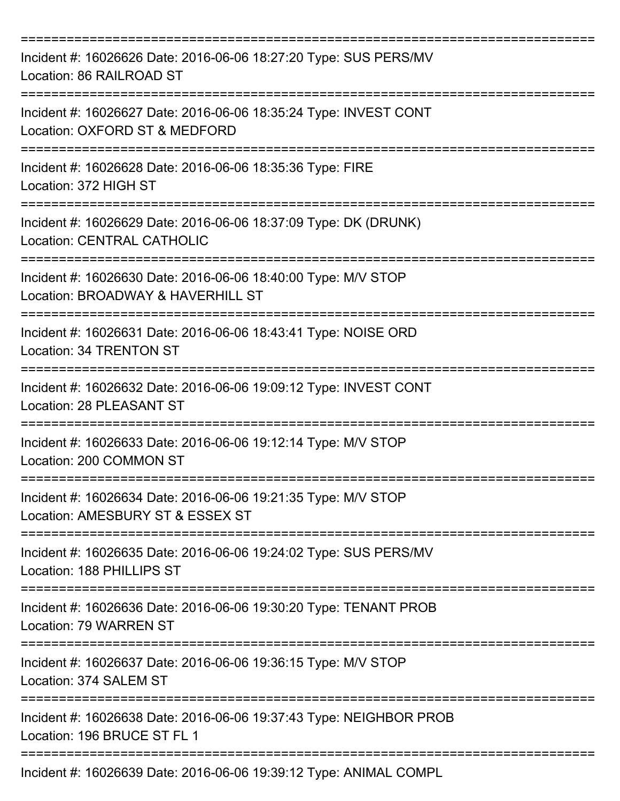| Incident #: 16026626 Date: 2016-06-06 18:27:20 Type: SUS PERS/MV<br>Location: 86 RAILROAD ST         |
|------------------------------------------------------------------------------------------------------|
| Incident #: 16026627 Date: 2016-06-06 18:35:24 Type: INVEST CONT<br>Location: OXFORD ST & MEDFORD    |
| Incident #: 16026628 Date: 2016-06-06 18:35:36 Type: FIRE<br>Location: 372 HIGH ST                   |
| Incident #: 16026629 Date: 2016-06-06 18:37:09 Type: DK (DRUNK)<br><b>Location: CENTRAL CATHOLIC</b> |
| Incident #: 16026630 Date: 2016-06-06 18:40:00 Type: M/V STOP<br>Location: BROADWAY & HAVERHILL ST   |
| Incident #: 16026631 Date: 2016-06-06 18:43:41 Type: NOISE ORD<br>Location: 34 TRENTON ST            |
| Incident #: 16026632 Date: 2016-06-06 19:09:12 Type: INVEST CONT<br>Location: 28 PLEASANT ST         |
| Incident #: 16026633 Date: 2016-06-06 19:12:14 Type: M/V STOP<br>Location: 200 COMMON ST             |
| Incident #: 16026634 Date: 2016-06-06 19:21:35 Type: M/V STOP<br>Location: AMESBURY ST & ESSEX ST    |
| Incident #: 16026635 Date: 2016-06-06 19:24:02 Type: SUS PERS/MV<br>Location: 188 PHILLIPS ST        |
| Incident #: 16026636 Date: 2016-06-06 19:30:20 Type: TENANT PROB<br>Location: 79 WARREN ST           |
| Incident #: 16026637 Date: 2016-06-06 19:36:15 Type: M/V STOP<br>Location: 374 SALEM ST              |
| Incident #: 16026638 Date: 2016-06-06 19:37:43 Type: NEIGHBOR PROB<br>Location: 196 BRUCE ST FL 1    |
| Incident #: 16026639 Date: 2016-06-06 19:39:12 Type: ANIMAL COMPL                                    |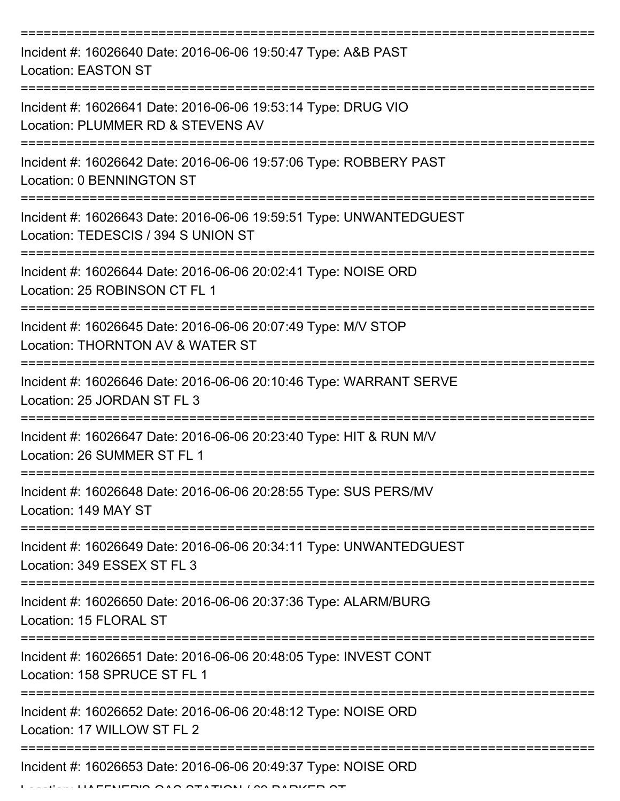| Incident #: 16026640 Date: 2016-06-06 19:50:47 Type: A&B PAST<br><b>Location: EASTON ST</b>                              |
|--------------------------------------------------------------------------------------------------------------------------|
| Incident #: 16026641 Date: 2016-06-06 19:53:14 Type: DRUG VIO<br>Location: PLUMMER RD & STEVENS AV                       |
| Incident #: 16026642 Date: 2016-06-06 19:57:06 Type: ROBBERY PAST<br>Location: 0 BENNINGTON ST                           |
| Incident #: 16026643 Date: 2016-06-06 19:59:51 Type: UNWANTEDGUEST<br>Location: TEDESCIS / 394 S UNION ST                |
| Incident #: 16026644 Date: 2016-06-06 20:02:41 Type: NOISE ORD<br>Location: 25 ROBINSON CT FL 1                          |
| Incident #: 16026645 Date: 2016-06-06 20:07:49 Type: M/V STOP<br>Location: THORNTON AV & WATER ST                        |
| Incident #: 16026646 Date: 2016-06-06 20:10:46 Type: WARRANT SERVE<br>Location: 25 JORDAN ST FL 3                        |
| Incident #: 16026647 Date: 2016-06-06 20:23:40 Type: HIT & RUN M/V<br>Location: 26 SUMMER ST FL 1                        |
| Incident #: 16026648 Date: 2016-06-06 20:28:55 Type: SUS PERS/MV<br>Location: 149 MAY ST                                 |
| ===================<br>Incident #: 16026649 Date: 2016-06-06 20:34:11 Type: UNWANTEDGUEST<br>Location: 349 ESSEX ST FL 3 |
| Incident #: 16026650 Date: 2016-06-06 20:37:36 Type: ALARM/BURG<br>Location: 15 FLORAL ST                                |
| Incident #: 16026651 Date: 2016-06-06 20:48:05 Type: INVEST CONT<br>Location: 158 SPRUCE ST FL 1                         |
| Incident #: 16026652 Date: 2016-06-06 20:48:12 Type: NOISE ORD<br>Location: 17 WILLOW ST FL 2                            |
| Incident #: 16026653 Date: 2016-06-06 20:49:37 Type: NOISE ORD<br>T                                                      |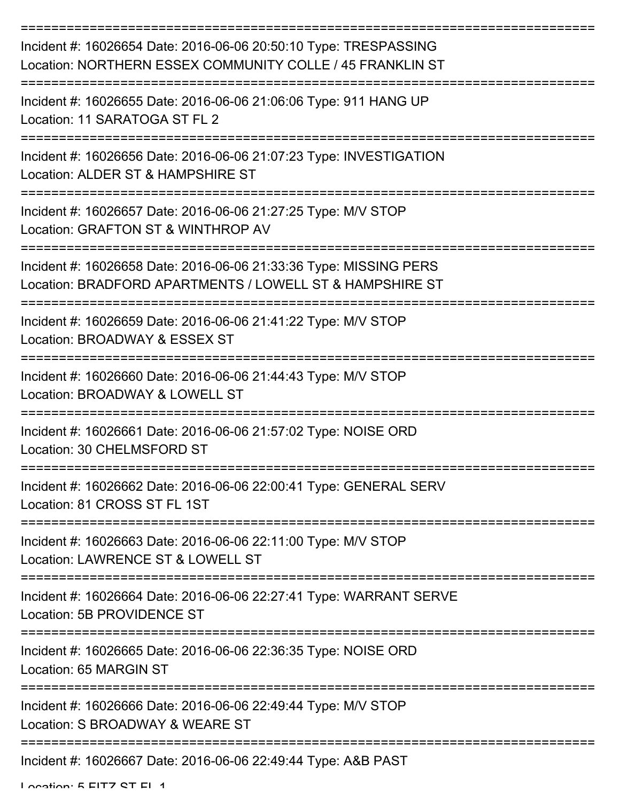| Incident #: 16026654 Date: 2016-06-06 20:50:10 Type: TRESPASSING<br>Location: NORTHERN ESSEX COMMUNITY COLLE / 45 FRANKLIN ST |
|-------------------------------------------------------------------------------------------------------------------------------|
| Incident #: 16026655 Date: 2016-06-06 21:06:06 Type: 911 HANG UP<br>Location: 11 SARATOGA ST FL 2                             |
| Incident #: 16026656 Date: 2016-06-06 21:07:23 Type: INVESTIGATION<br>Location: ALDER ST & HAMPSHIRE ST                       |
| Incident #: 16026657 Date: 2016-06-06 21:27:25 Type: M/V STOP<br>Location: GRAFTON ST & WINTHROP AV                           |
| Incident #: 16026658 Date: 2016-06-06 21:33:36 Type: MISSING PERS<br>Location: BRADFORD APARTMENTS / LOWELL ST & HAMPSHIRE ST |
| Incident #: 16026659 Date: 2016-06-06 21:41:22 Type: M/V STOP<br>Location: BROADWAY & ESSEX ST                                |
| Incident #: 16026660 Date: 2016-06-06 21:44:43 Type: M/V STOP<br>Location: BROADWAY & LOWELL ST                               |
| Incident #: 16026661 Date: 2016-06-06 21:57:02 Type: NOISE ORD<br>Location: 30 CHELMSFORD ST                                  |
| Incident #: 16026662 Date: 2016-06-06 22:00:41 Type: GENERAL SERV<br>Location: 81 CROSS ST FL 1ST                             |
| Incident #: 16026663 Date: 2016-06-06 22:11:00 Type: M/V STOP<br>Location: LAWRENCE ST & LOWELL ST                            |
| Incident #: 16026664 Date: 2016-06-06 22:27:41 Type: WARRANT SERVE<br>Location: 5B PROVIDENCE ST                              |
| Incident #: 16026665 Date: 2016-06-06 22:36:35 Type: NOISE ORD<br>Location: 65 MARGIN ST                                      |
| Incident #: 16026666 Date: 2016-06-06 22:49:44 Type: M/V STOP<br>Location: S BROADWAY & WEARE ST                              |
| Incident #: 16026667 Date: 2016-06-06 22:49:44 Type: A&B PAST                                                                 |

Location: 5 FITZ ST FL 1